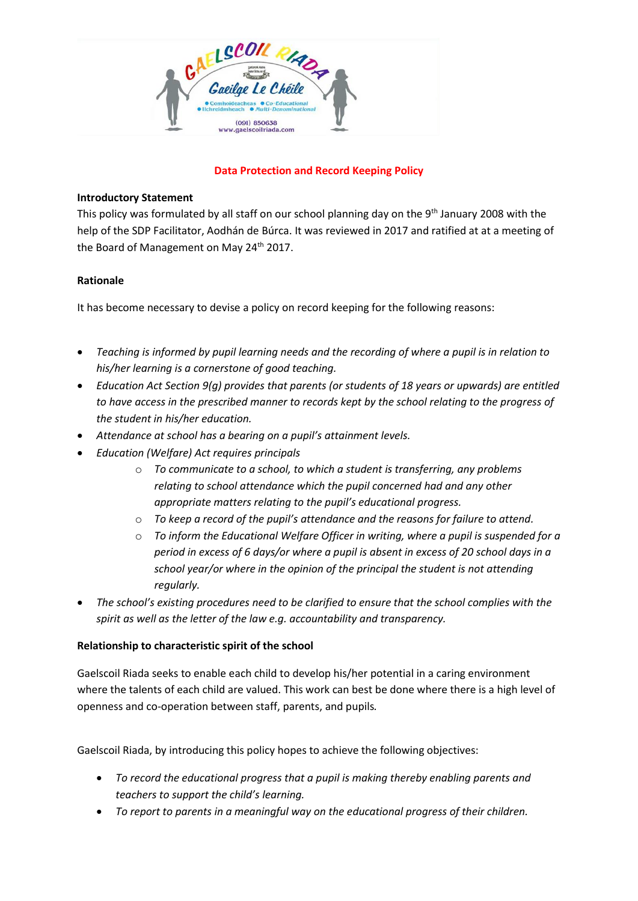

### **Data Protection and Record Keeping Policy**

### **Introductory Statement**

This policy was formulated by all staff on our school planning day on the 9<sup>th</sup> January 2008 with the help of the SDP Facilitator, Aodhán de Búrca. It was reviewed in 2017 and ratified at at a meeting of the Board of Management on May 24<sup>th</sup> 2017.

# **Rationale**

It has become necessary to devise a policy on record keeping for the following reasons:

- *Teaching is informed by pupil learning needs and the recording of where a pupil is in relation to his/her learning is a cornerstone of good teaching.*
- *Education Act Section 9(g) provides that parents (or students of 18 years or upwards) are entitled to have access in the prescribed manner to records kept by the school relating to the progress of the student in his/her education.*
- *Attendance at school has a bearing on a pupil's attainment levels.*
- *Education (Welfare) Act requires principals* 
	- o *To communicate to a school, to which a student is transferring, any problems relating to school attendance which the pupil concerned had and any other appropriate matters relating to the pupil's educational progress.*
	- o *To keep a record of the pupil's attendance and the reasons for failure to attend.*
	- o *To inform the Educational Welfare Officer in writing, where a pupil is suspended for a period in excess of 6 days/or where a pupil is absent in excess of 20 school days in a school year/or where in the opinion of the principal the student is not attending regularly.*
- *The school's existing procedures need to be clarified to ensure that the school complies with the spirit as well as the letter of the law e.g. accountability and transparency.*

# **Relationship to characteristic spirit of the school**

Gaelscoil Riada seeks to enable each child to develop his/her potential in a caring environment where the talents of each child are valued. This work can best be done where there is a high level of openness and co-operation between staff, parents, and pupils*.* 

Gaelscoil Riada, by introducing this policy hopes to achieve the following objectives:

- *To record the educational progress that a pupil is making thereby enabling parents and teachers to support the child's learning.*
- *To report to parents in a meaningful way on the educational progress of their children.*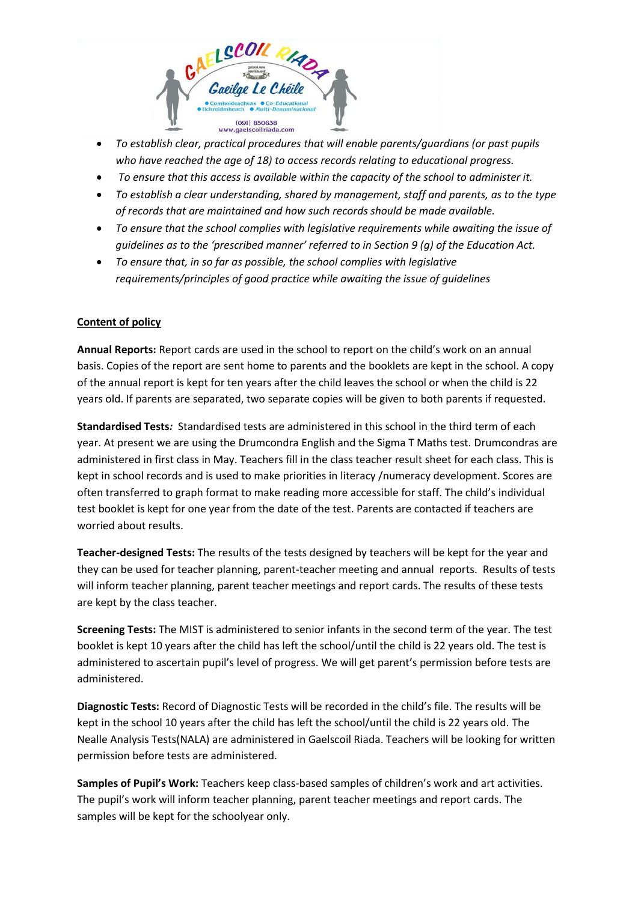

- *To establish clear, practical procedures that will enable parents/guardians (or past pupils who have reached the age of 18) to access records relating to educational progress.*
- *To ensure that this access is available within the capacity of the school to administer it.*
- *To establish a clear understanding, shared by management, staff and parents, as to the type of records that are maintained and how such records should be made available.*
- *To ensure that the school complies with legislative requirements while awaiting the issue of guidelines as to the 'prescribed manner' referred to in Section 9 (g) of the Education Act.*
- *To ensure that, in so far as possible, the school complies with legislative requirements/principles of good practice while awaiting the issue of guidelines*

# **Content of policy**

**Annual Reports:** Report cards are used in the school to report on the child's work on an annual basis. Copies of the report are sent home to parents and the booklets are kept in the school. A copy of the annual report is kept for ten years after the child leaves the school or when the child is 22 years old. If parents are separated, two separate copies will be given to both parents if requested.

**Standardised Tests***:* Standardised tests are administered in this school in the third term of each year. At present we are using the Drumcondra English and the Sigma T Maths test. Drumcondras are administered in first class in May. Teachers fill in the class teacher result sheet for each class. This is kept in school records and is used to make priorities in literacy /numeracy development. Scores are often transferred to graph format to make reading more accessible for staff. The child's individual test booklet is kept for one year from the date of the test. Parents are contacted if teachers are worried about results.

**Teacher-designed Tests:** The results of the tests designed by teachers will be kept for the year and they can be used for teacher planning, parent-teacher meeting and annual reports. Results of tests will inform teacher planning, parent teacher meetings and report cards. The results of these tests are kept by the class teacher.

**Screening Tests:** The MIST is administered to senior infants in the second term of the year. The test booklet is kept 10 years after the child has left the school/until the child is 22 years old. The test is administered to ascertain pupil's level of progress. We will get parent's permission before tests are administered.

**Diagnostic Tests:** Record of Diagnostic Tests will be recorded in the child's file. The results will be kept in the school 10 years after the child has left the school/until the child is 22 years old. The Nealle Analysis Tests(NALA) are administered in Gaelscoil Riada. Teachers will be looking for written permission before tests are administered.

**Samples of Pupil's Work:** Teachers keep class-based samples of children's work and art activities. The pupil's work will inform teacher planning, parent teacher meetings and report cards. The samples will be kept for the schoolyear only.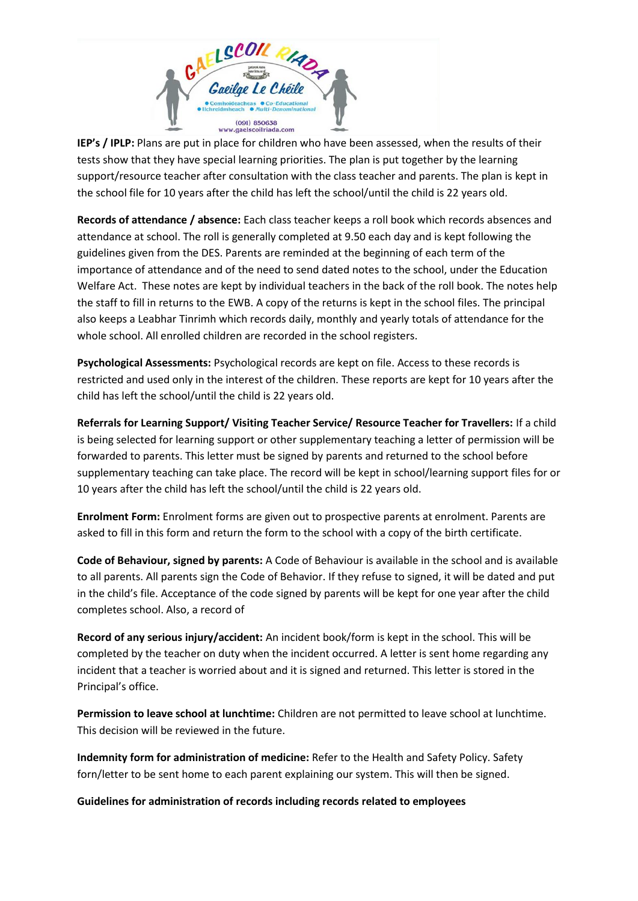

**IEP's / IPLP:** Plans are put in place for children who have been assessed, when the results of their tests show that they have special learning priorities. The plan is put together by the learning support/resource teacher after consultation with the class teacher and parents. The plan is kept in the school file for 10 years after the child has left the school/until the child is 22 years old.

**Records of attendance / absence:** Each class teacher keeps a roll book which records absences and attendance at school. The roll is generally completed at 9.50 each day and is kept following the guidelines given from the DES. Parents are reminded at the beginning of each term of the importance of attendance and of the need to send dated notes to the school, under the Education Welfare Act. These notes are kept by individual teachers in the back of the roll book. The notes help the staff to fill in returns to the EWB. A copy of the returns is kept in the school files. The principal also keeps a Leabhar Tinrimh which records daily, monthly and yearly totals of attendance for the whole school. All enrolled children are recorded in the school registers.

**Psychological Assessments:** Psychological records are kept on file. Access to these records is restricted and used only in the interest of the children. These reports are kept for 10 years after the child has left the school/until the child is 22 years old.

**Referrals for Learning Support/ Visiting Teacher Service/ Resource Teacher for Travellers:** If a child is being selected for learning support or other supplementary teaching a letter of permission will be forwarded to parents. This letter must be signed by parents and returned to the school before supplementary teaching can take place. The record will be kept in school/learning support files for or 10 years after the child has left the school/until the child is 22 years old.

**Enrolment Form:** Enrolment forms are given out to prospective parents at enrolment. Parents are asked to fill in this form and return the form to the school with a copy of the birth certificate.

**Code of Behaviour, signed by parents:** A Code of Behaviour is available in the school and is available to all parents. All parents sign the Code of Behavior. If they refuse to signed, it will be dated and put in the child's file. Acceptance of the code signed by parents will be kept for one year after the child completes school. Also, a record of

**Record of any serious injury/accident:** An incident book/form is kept in the school. This will be completed by the teacher on duty when the incident occurred. A letter is sent home regarding any incident that a teacher is worried about and it is signed and returned. This letter is stored in the Principal's office.

**Permission to leave school at lunchtime:** Children are not permitted to leave school at lunchtime. This decision will be reviewed in the future.

**Indemnity form for administration of medicine:** Refer to the Health and Safety Policy. Safety forn/letter to be sent home to each parent explaining our system. This will then be signed.

**Guidelines for administration of records including records related to employees**